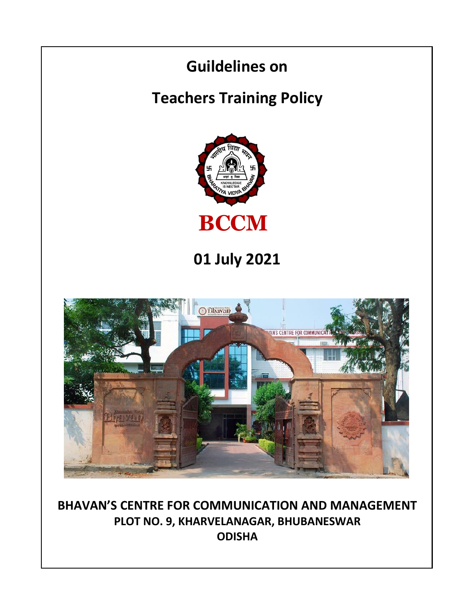

**BHAVAN'S CENTRE FOR COMMUNICATION AND MANAGEMENT PLOT NO. 9, KHARVELANAGAR, BHUBANESWAR ODISHA**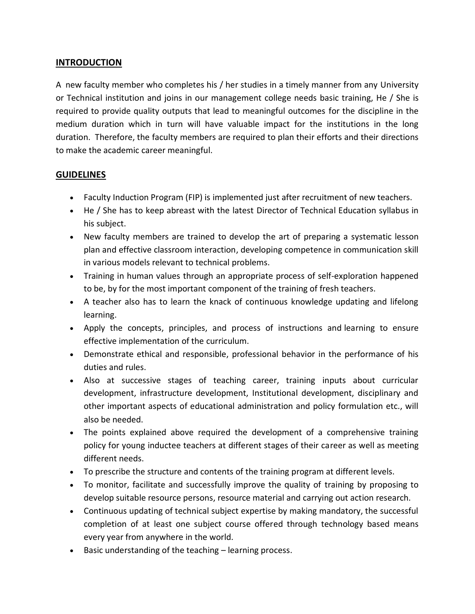## **INTRODUCTION**

A new faculty member who completes his / her studies in a timely manner from any University or Technical institution and joins in our management college needs basic training, He / She is required to provide quality outputs that lead to meaningful outcomes for the discipline in the medium duration which in turn will have valuable impact for the institutions in the long duration. Therefore, the faculty members are required to plan their efforts and their directions to make the academic career meaningful.

## **GUIDELINES**

- Faculty Induction Program (FIP) is implemented just after recruitment of new teachers.
- He / She has to keep abreast with the latest Director of Technical Education syllabus in his subject.
- New faculty members are trained to develop the art of preparing a systematic lesson plan and effective classroom interaction, developing competence in communication skill in various models relevant to technical problems.
- Training in human values through an appropriate process of self-exploration happened to be, by for the most important component of the training of fresh teachers.
- A teacher also has to learn the knack of continuous knowledge updating and lifelong learning.
- Apply the concepts, principles, and process of instructions and learning to ensure effective implementation of the curriculum.
- Demonstrate ethical and responsible, professional behavior in the performance of his duties and rules.
- Also at successive stages of teaching career, training inputs about curricular development, infrastructure development, Institutional development, disciplinary and other important aspects of educational administration and policy formulation etc., will also be needed.
- The points explained above required the development of a comprehensive training policy for young inductee teachers at different stages of their career as well as meeting different needs.
- To prescribe the structure and contents of the training program at different levels.
- To monitor, facilitate and successfully improve the quality of training by proposing to develop suitable resource persons, resource material and carrying out action research.
- Continuous updating of technical subject expertise by making mandatory, the successful completion of at least one subject course offered through technology based means every year from anywhere in the world.
- Basic understanding of the teaching learning process.